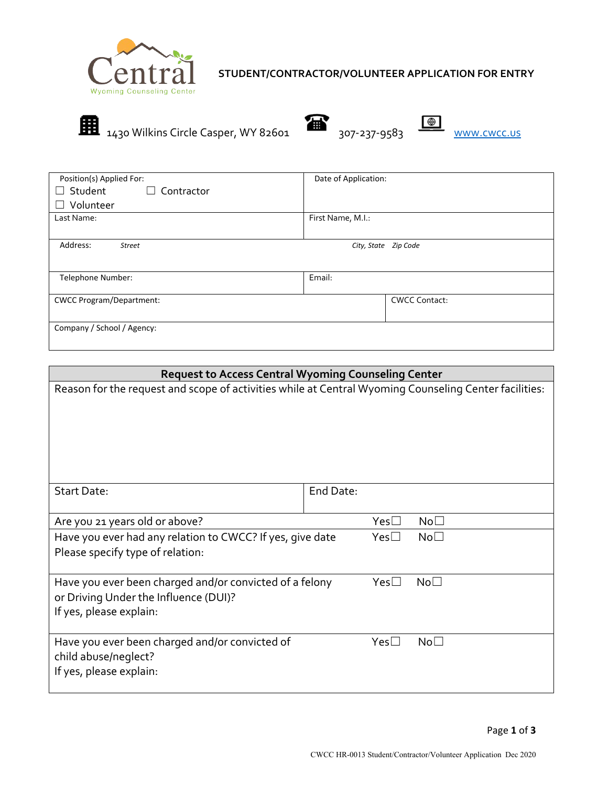

# **STUDENT/CONTRACTOR/VOLUNTEER APPLICATION FOR ENTRY**



| Position(s) Applied For:               | Date of Application: |
|----------------------------------------|----------------------|
| Student<br>$\Box$ Contractor<br>$\Box$ |                      |
| Volunteer<br>$\Box$                    |                      |
| Last Name:                             | First Name, M.I.:    |
|                                        |                      |
| Address:<br>Street                     | City, State Zip Code |
|                                        |                      |
| Telephone Number:                      | Email:               |
|                                        |                      |
| <b>CWCC Program/Department:</b>        | <b>CWCC Contact:</b> |
|                                        |                      |
| Company / School / Agency:             |                      |
|                                        |                      |

| <b>Request to Access Central Wyoming Counseling Center</b>                                                                  |                                    |  |  |  |
|-----------------------------------------------------------------------------------------------------------------------------|------------------------------------|--|--|--|
| Reason for the request and scope of activities while at Central Wyoming Counseling Center facilities:                       |                                    |  |  |  |
| <b>Start Date:</b>                                                                                                          | End Date:                          |  |  |  |
| Are you 21 years old or above?                                                                                              | $Yes\square$<br>No <sub>1</sub>    |  |  |  |
| Have you ever had any relation to CWCC? If yes, give date<br>Please specify type of relation:                               | No <sub>1</sub><br>$Yes\square$    |  |  |  |
| Have you ever been charged and/or convicted of a felony<br>or Driving Under the Influence (DUI)?<br>If yes, please explain: | $Yes \Box$<br>$\mathsf{No}\square$ |  |  |  |
| Have you ever been charged and/or convicted of<br>child abuse/neglect?<br>If yes, please explain:                           | No <sub>1</sub><br>$Yes \Box$      |  |  |  |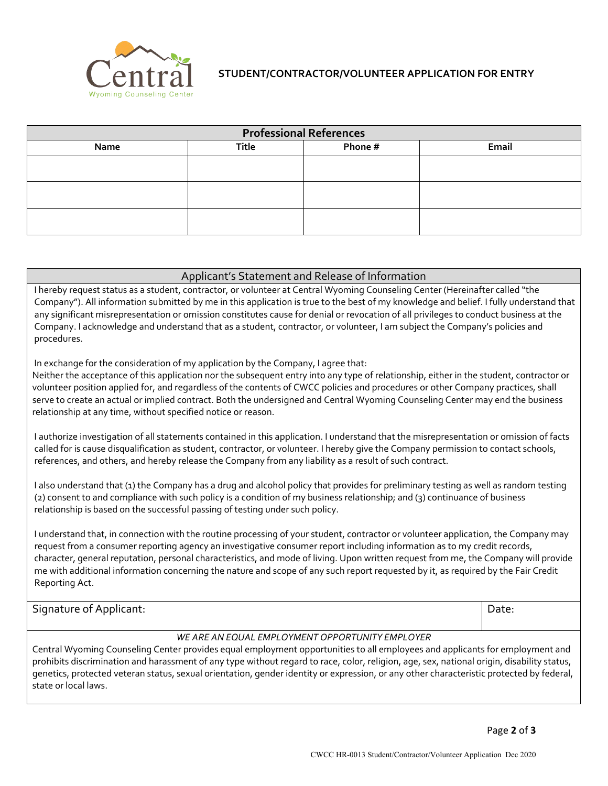

## **STUDENT/CONTRACTOR/VOLUNTEER APPLICATION FOR ENTRY**

| <b>Professional References</b> |              |         |       |  |  |
|--------------------------------|--------------|---------|-------|--|--|
| Name                           | <b>Title</b> | Phone # | Email |  |  |
|                                |              |         |       |  |  |
|                                |              |         |       |  |  |
|                                |              |         |       |  |  |
|                                |              |         |       |  |  |
|                                |              |         |       |  |  |
|                                |              |         |       |  |  |

#### Applicant's Statement and Release of Information

I hereby request status as a student, contractor, or volunteer at Central Wyoming Counseling Center (Hereinafter called "the Company"). All information submitted by me in this application is true to the best of my knowledge and belief. I fully understand that any significant misrepresentation or omission constitutes cause for denial or revocation of all privileges to conduct business at the Company. I acknowledge and understand that as a student, contractor, or volunteer, I am subject the Company's policies and procedures.

In exchange for the consideration of my application by the Company, I agree that:

Neither the acceptance of this application nor the subsequent entry into any type of relationship, either in the student, contractor or volunteer position applied for, and regardless of the contents of CWCC policies and procedures or other Company practices, shall serve to create an actual or implied contract. Both the undersigned and Central Wyoming Counseling Center may end the business relationship at any time, without specified notice or reason.

I authorize investigation of all statements contained in this application. I understand that the misrepresentation or omission of facts called for is cause disqualification as student, contractor, or volunteer. I hereby give the Company permission to contact schools, references, and others, and hereby release the Company from any liability as a result of such contract.

I also understand that (1) the Company has a drug and alcohol policy that provides for preliminary testing as well as random testing (2) consent to and compliance with such policy is a condition of my business relationship; and (3) continuance of business relationship is based on the successful passing of testing under such policy.

I understand that, in connection with the routine processing of your student, contractor or volunteer application, the Company may request from a consumer reporting agency an investigative consumer report including information as to my credit records, character, general reputation, personal characteristics, and mode of living. Upon written request from me, the Company will provide me with additional information concerning the nature and scope of any such report requested by it, as required by the Fair Credit Reporting Act.

Signature of Applicant:  $\Box$ 

### *WE ARE AN EQUAL EMPLOYMENT OPPORTUNITY EMPLOYER*

Central Wyoming Counseling Center provides equal employment opportunities to all employees and applicants for employment and prohibits discrimination and harassment of any type without regard to race, color, religion, age, sex, national origin, disability status, genetics, protected veteran status, sexual orientation, gender identity or expression, or any other characteristic protected by federal, state or local laws.